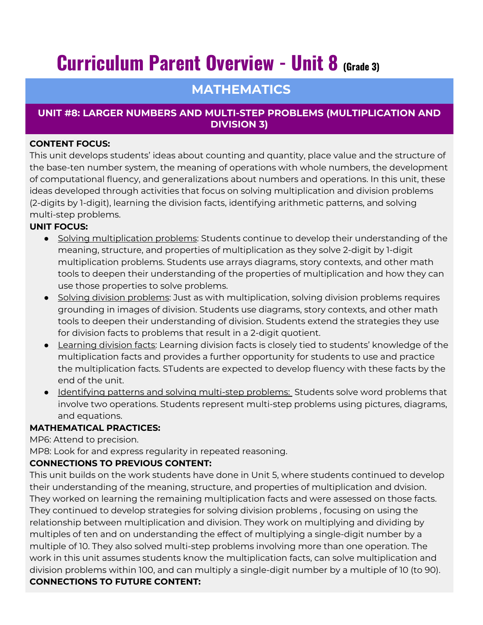# **Curriculum Parent Overview - Unit 8 (Grade 3)**

# **MATHEMATICS**

# **UNIT #8: LARGER NUMBERS AND MULTI-STEP PROBLEMS (MULTIPLICATION AND DIVISION 3)**

#### **CONTENT FOCUS:**

This unit develops students' ideas about counting and quantity, place value and the structure of the base-ten number system, the meaning of operations with whole numbers, the development of computational fluency, and generalizations about numbers and operations. In this unit, these ideas developed through activities that focus on solving multiplication and division problems (2-digits by 1-digit), learning the division facts, identifying arithmetic patterns, and solving multi-step problems.

#### **UNIT FOCUS:**

- Solving multiplication problems: Students continue to develop their understanding of the meaning, structure, and properties of multiplication as they solve 2-digit by 1-digit multiplication problems. Students use arrays diagrams, story contexts, and other math tools to deepen their understanding of the properties of multiplication and how they can use those properties to solve problems.
- Solving division problems: Just as with multiplication, solving division problems requires grounding in images of division. Students use diagrams, story contexts, and other math tools to deepen their understanding of division. Students extend the strategies they use for division facts to problems that result in a 2-digit quotient.
- Learning division facts: Learning division facts is closely tied to students' knowledge of the multiplication facts and provides a further opportunity for students to use and practice the multiplication facts. STudents are expected to develop fluency with these facts by the end of the unit.
- Identifying patterns and solving multi-step problems: Students solve word problems that involve two operations. Students represent multi-step problems using pictures, diagrams, and equations.

## **MATHEMATICAL PRACTICES:**

MP6: Attend to precision.

MP8: Look for and express regularity in repeated reasoning.

## **CONNECTIONS TO PREVIOUS CONTENT:**

This unit builds on the work students have done in Unit 5, where students continued to develop their understanding of the meaning, structure, and properties of multiplication and dvision. They worked on learning the remaining multiplication facts and were assessed on those facts. They continued to develop strategies for solving division problems , focusing on using the relationship between multiplication and division. They work on multiplying and dividing by multiples of ten and on understanding the effect of multiplying a single-digit number by a multiple of 10. They also solved multi-step problems involving more than one operation. The work in this unit assumes students know the multiplication facts, can solve multiplication and division problems within 100, and can multiply a single-digit number by a multiple of 10 (to 90). **CONNECTIONS TO FUTURE CONTENT:**